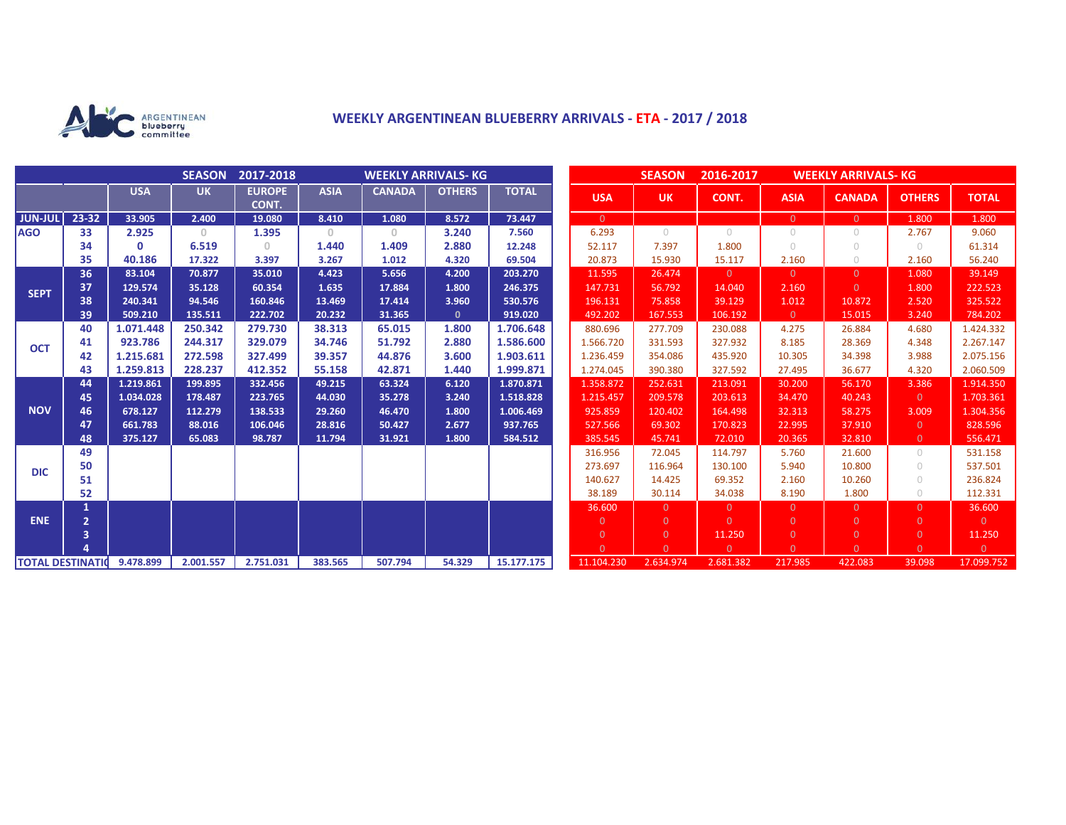

## **WEEKLY ARGENTINEAN BLUEBERRY ARRIVALS - ETA - 2017 / 2018**

|                          |                |            | <b>SEASON</b> | 2017-2018              |              | <b>WEEKLY ARRIVALS- KG</b> |               |              |                | <b>SEASON</b>  | 2016-2017<br><b>WEEKLY ARRIVALS- KG</b> |                |                |                |                |
|--------------------------|----------------|------------|---------------|------------------------|--------------|----------------------------|---------------|--------------|----------------|----------------|-----------------------------------------|----------------|----------------|----------------|----------------|
|                          |                | <b>USA</b> | <b>UK</b>     | <b>EUROPE</b><br>CONT. | <b>ASIA</b>  | <b>CANADA</b>              | <b>OTHERS</b> | <b>TOTAL</b> | <b>USA</b>     | <b>UK</b>      | CONT.                                   | <b>ASIA</b>    | <b>CANADA</b>  | <b>OTHERS</b>  | <b>TOTAL</b>   |
| JUN-JUL                  | 23-32          | 33.905     | 2.400         | 19.080                 | 8.410        | 1.080                      | 8.572         | 73.447       | $\overline{0}$ |                |                                         | $\overline{0}$ | $\overline{0}$ | 1.800          | 1.800          |
| <b>AGO</b>               | 33             | 2.925      | $\Omega$      | 1.395                  | $\mathbf{0}$ | $\circ$                    | 3.240         | 7.560        | 6.293          | $\bigcirc$     | $\bigcirc$                              | $\circ$        | 0              | 2.767          | 9.060          |
|                          | 34             | 0          | 6.519         | 0                      | 1.440        | 1.409                      | 2.880         | 12.248       | 52.117         | 7.397          | 1.800                                   | $\bigcirc$     | $\cup$         | $\bigcirc$     | 61.314         |
|                          | 35             | 40.186     | 17.322        | 3.397                  | 3.267        | 1.012                      | 4.320         | 69.504       | 20.873         | 15.930         | 15.117                                  | 2.160          | 0              | 2.160          | 56.240         |
| <b>SEPT</b>              | 36             | 83.104     | 70.877        | 35.010                 | 4.423        | 5.656                      | 4.200         | 203.270      | 11.595         | 26.474         | $\Omega$                                | $\overline{0}$ | $\Omega$       | 1.080          | 39.149         |
|                          | 37             | 129.574    | 35.128        | 60.354                 | 1.635        | 17.884                     | 1.800         | 246.375      | 147.731        | 56.792         | 14.040                                  | 2.160          | $\Omega$       | 1.800          | 222.523        |
|                          | 38             | 240.341    | 94.546        | 160.846                | 13.469       | 17.414                     | 3.960         | 530.576      | 196.131        | 75.858         | 39.129                                  | 1.012          | 10.872         | 2.520          | 325.522        |
|                          | 39             | 509.210    | 135.511       | 222.702                | 20.232       | 31.365                     | $\mathbf{0}$  | 919.020      | 492.202        | 167.553        | 106.192                                 | $\overline{0}$ | 15.015         | 3.240          | 784.202        |
| <b>OCT</b>               | 40             | 1.071.448  | 250.342       | 279.730                | 38.313       | 65.015                     | 1.800         | 1.706.648    | 880.696        | 277.709        | 230.088                                 | 4.275          | 26.884         | 4.680          | 1.424.332      |
|                          | 41             | 923.786    | 244.317       | 329.079                | 34.746       | 51.792                     | 2.880         | 1.586.600    | 1.566.720      | 331.593        | 327.932                                 | 8.185          | 28.369         | 4.348          | 2.267.147      |
|                          | 42             | 1.215.681  | 272.598       | 327.499                | 39.357       | 44.876                     | 3.600         | 1.903.611    | 1.236.459      | 354.086        | 435.920                                 | 10.305         | 34.398         | 3.988          | 2.075.156      |
|                          | 43             | 1.259.813  | 228.237       | 412.352                | 55.158       | 42.871                     | 1.440         | 1.999.871    | 1.274.045      | 390.380        | 327.592                                 | 27.495         | 36.677         | 4.320          | 2.060.509      |
|                          | 44             | 1.219.861  | 199.895       | 332.456                | 49.215       | 63.324                     | 6.120         | 1.870.871    | 1.358.872      | 252.631        | 213.091                                 | 30.200         | 56.170         | 3.386          | 1.914.350      |
| <b>NOV</b>               | 45             | 1.034.028  | 178.487       | 223.765                | 44.030       | 35.278                     | 3.240         | 1.518.828    | 1.215.457      | 209.578        | 203.613                                 | 34,470         | 40.243         | $\Omega$       | 1.703.361      |
|                          | 46             | 678.127    | 112.279       | 138.533                | 29.260       | 46.470                     | 1.800         | 1.006.469    | 925.859        | 120.402        | 164.498                                 | 32.313         | 58.275         | 3.009          | 1.304.356      |
|                          | 47             | 661.783    | 88.016        | 106.046                | 28.816       | 50.427                     | 2.677         | 937.765      | 527.566        | 69.302         | 170.823                                 | 22.995         | 37.910         | $\Omega$       | 828.596        |
|                          | 48             | 375.127    | 65.083        | 98.787                 | 11.794       | 31.921                     | 1.800         | 584.512      | 385.545        | 45.741         | 72.010                                  | 20.365         | 32.810         | $\overline{0}$ | 556.471        |
| <b>DIC</b>               | 49             |            |               |                        |              |                            |               |              | 316.956        | 72.045         | 114.797                                 | 5.760          | 21.600         | $\bigcirc$     | 531.158        |
|                          | 50             |            |               |                        |              |                            |               |              | 273.697        | 116.964        | 130.100                                 | 5.940          | 10.800         | $\circ$        | 537.501        |
|                          | 51             |            |               |                        |              |                            |               |              | 140.627        | 14.425         | 69.352                                  | 2.160          | 10.260         | $\circ$        | 236.824        |
|                          | 52             |            |               |                        |              |                            |               |              | 38.189         | 30.114         | 34.038                                  | 8.190          | 1.800          | $\circ$        | 112.331        |
| <b>ENE</b>               | $\mathbf{1}$   |            |               |                        |              |                            |               |              | 36.600         | $\Omega$       | $\overline{0}$                          | $\overline{0}$ | $\Omega$       | $\Omega$       | 36.600         |
|                          | $\overline{2}$ |            |               |                        |              |                            |               |              | $\overline{0}$ | $\overline{0}$ | $\Omega$                                | $\overline{0}$ | $\Omega$       | $\overline{0}$ | $\overline{0}$ |
|                          | 3              |            |               |                        |              |                            |               |              | $\overline{0}$ | $\overline{0}$ | 11.250                                  | $\overline{0}$ | $\overline{0}$ | $\overline{0}$ | 11.250         |
|                          |                |            |               |                        |              |                            |               |              | $\Omega$       | $\Omega$       | $\Omega$                                | $\Omega$       | $\Omega$       | $\Omega$       | $\overline{0}$ |
| <b>TOTAL DESTINATION</b> |                | 9.478.899  | 2.001.557     | 2.751.031              | 383.565      | 507.794                    | 54.329        | 15.177.175   | 11.104.230     | 2.634.974      | 2.681.382                               | 217.985        | 422.083        | 39.098         | 17.099.752     |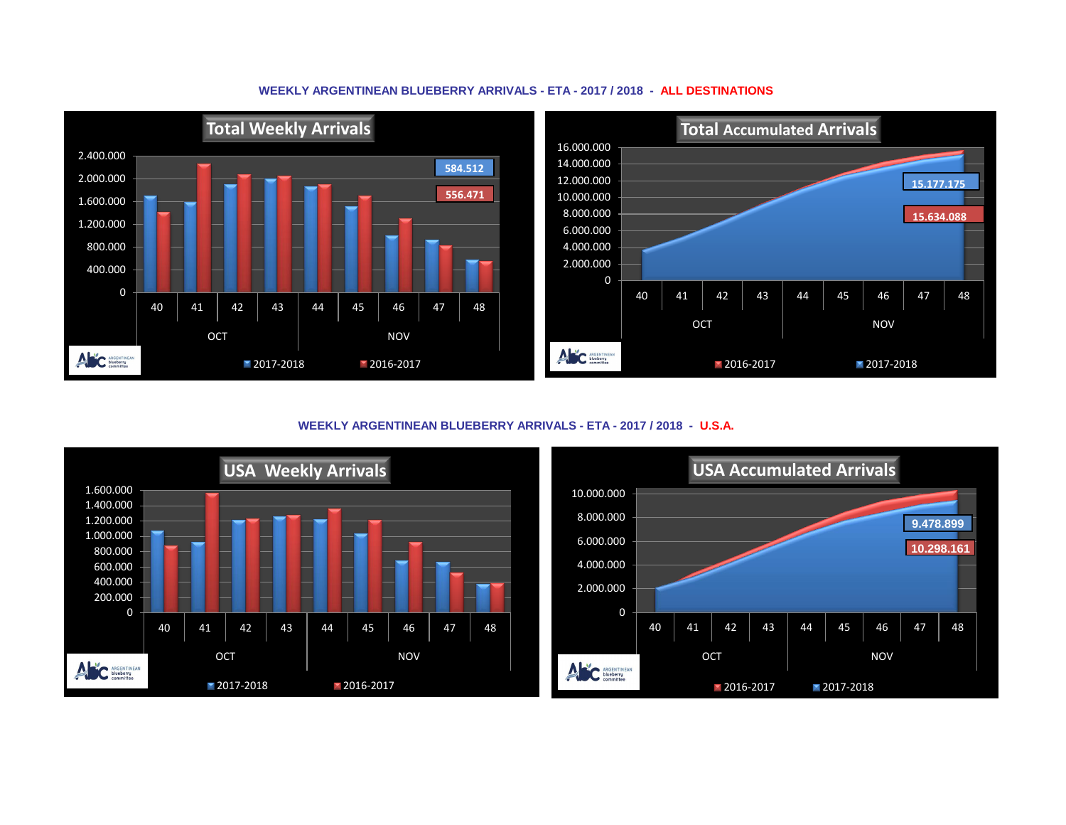



**WEEKLY ARGENTINEAN BLUEBERRY ARRIVALS - ETA - 2017 / 2018 - U.S.A.**



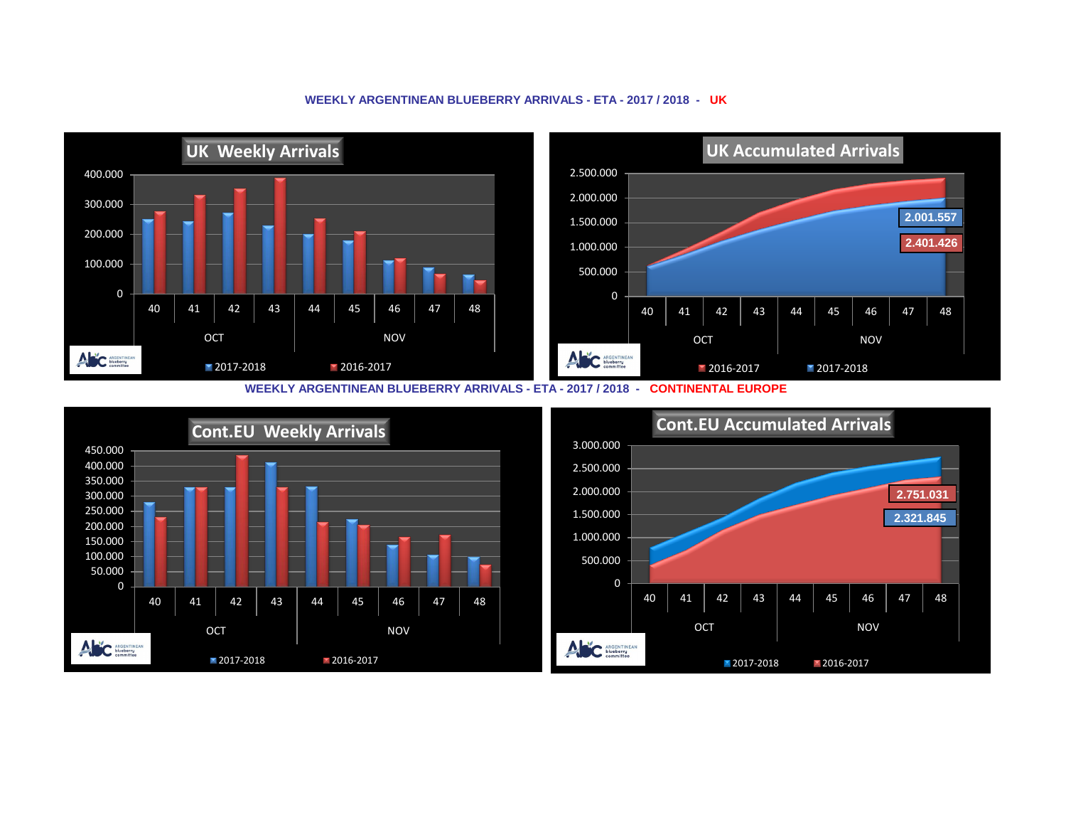## **UK Weekly Arrivals UK Accumulated Arrivals** 2.500.000 400.000 2.000.000 300.000 **2.001.557** 1.500.000 200.000 **2.401.426** 1.000.000 100.000 500.000 0 0 40 | 41 | 42 | 43 | 44 | 45 | 46 | 47 | 48 40 | 41 | 42 | 43 | 44 | 45 | 46 | 47 | 48 OCT NOV OCT NOV ANC ARGENTINEAN ANC ARGENTINEAN 2017-2018 2016-2017 **2016-2017** 2017-2018

## **WEEKLY ARGENTINEAN BLUEBERRY ARRIVALS - ETA - 2017 / 2018 - UK**

**WEEKLY ARGENTINEAN BLUEBERRY ARRIVALS - ETA - 2017 / 2018 - CONTINENTAL EUROPE**